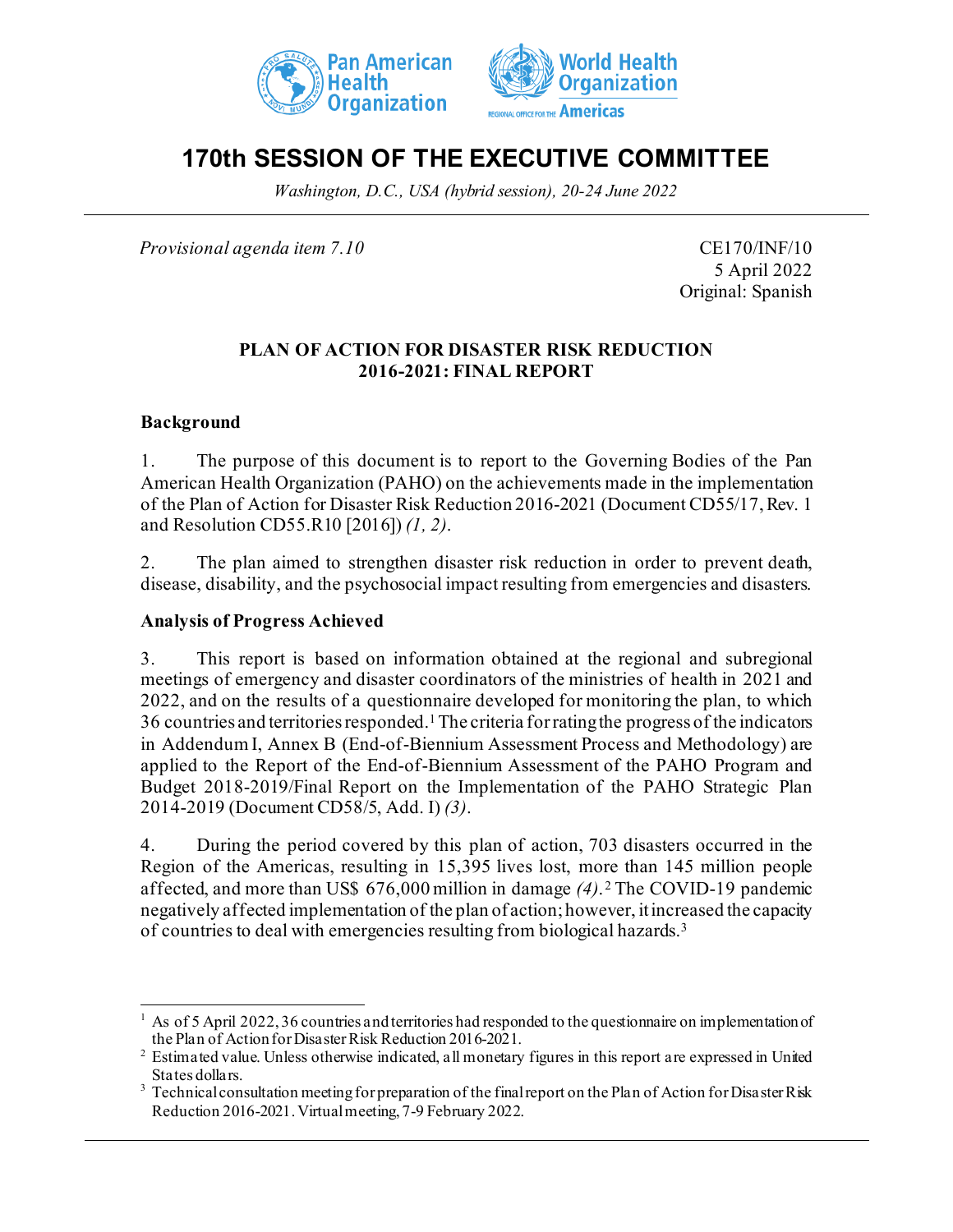



# **170th SESSION OF THE EXECUTIVE COMMITTEE**

*Washington, D.C., USA (hybrid session), 20-24 June 2022*

*Provisional agenda item 7.10* CE170/INF/10

5 April 2022 Original: Spanish

#### **PLAN OF ACTION FOR DISASTER RISK REDUCTION 2016-2021: FINAL REPORT**

## **Background**

1. The purpose of this document is to report to the Governing Bodies of the Pan American Health Organization (PAHO) on the achievements made in the implementation of the Plan of Action for Disaster Risk Reduction 2016-2021 (Document CD55/17, Rev. 1 and Resolution CD55.R10 [2016]) *(1, 2)*.

2. The plan aimed to strengthen disaster risk reduction in order to prevent death, disease, disability, and the psychosocial impact resulting from emergencies and disasters.

#### **Analysis of Progress Achieved**

3. This report is based on information obtained at the regional and subregional meetings of emergency and disaster coordinators of the ministries of health in 2021 and 2022, and on the results of a questionnaire developed for monitoring the plan, to which 36 countries and territories responded.<sup>[1](#page-0-0)</sup> The criteria for rating the progress of the indicators in Addendum I, Annex B (End-of-Biennium Assessment Process and Methodology) are applied to the Report of the End-of-Biennium Assessment of the PAHO Program and Budget 2018-2019/Final Report on the Implementation of the PAHO Strategic Plan 2014-2019 (Document CD58/5, Add. I) *(3)*.

4. During the period covered by this plan of action, 703 disasters occurred in the Region of the Americas, resulting in 15,395 lives lost, more than 145 million people affected, and more than US\$ 676,000 million in damage *(4)*. [2](#page-0-1) The COVID-19 pandemic negatively affected implementation of the plan of action; however, it increased the capacity of countries to deal with emergencies resulting from biological hazards.[3](#page-0-2)

<span id="page-0-0"></span><sup>1</sup> As of 5 April 2022, 36 countries and territories had responded to the questionnaire on implementation of the Plan of Action for Disaster Risk Reduction 2016-2021.

<span id="page-0-1"></span><sup>&</sup>lt;sup>2</sup> Estimated value. Unless otherwise indicated, all monetary figures in this report are expressed in United States dollars.

<span id="page-0-2"></span><sup>&</sup>lt;sup>3</sup> Technical consultation meeting for preparation of the final report on the Plan of Action for Disaster Risk Reduction 2016-2021. Virtual meeting, 7-9 February 2022.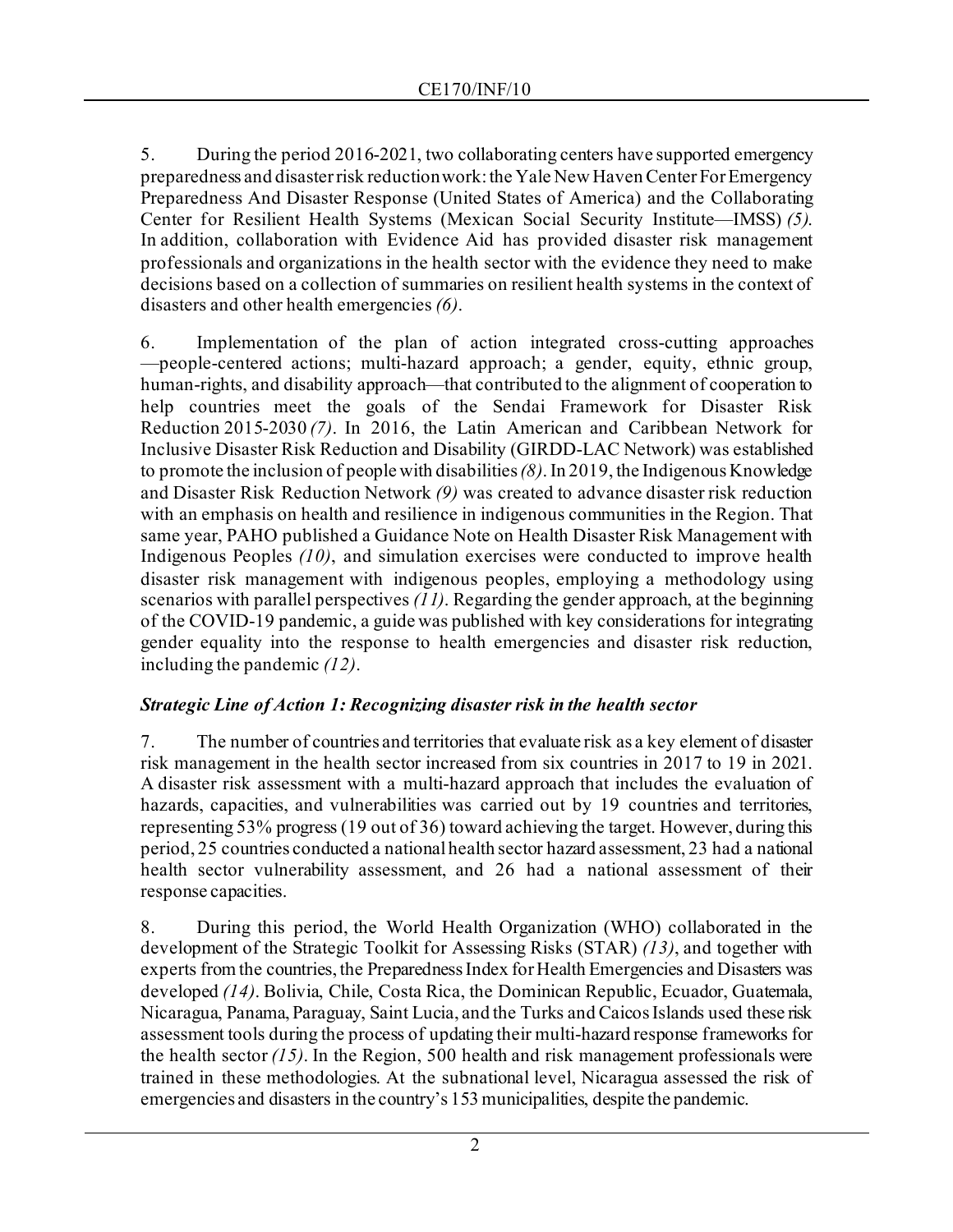5. During the period 2016-2021, two collaborating centers have supported emergency preparedness and disaster risk reduction work: the Yale New Haven Center For Emergency Preparedness And Disaster Response (United States of America) and the Collaborating Center for Resilient Health Systems (Mexican Social Security Institute—IMSS) *(5)*. In addition, collaboration with Evidence Aid has provided disaster risk management professionals and organizations in the health sector with the evidence they need to make decisions based on a collection of summaries on resilient health systems in the context of disasters and other health emergencies *(6)*.

6. Implementation of the plan of action integrated cross-cutting approaches —people-centered actions; multi-hazard approach; a gender, equity, ethnic group, human-rights, and disability approach—that contributed to the alignment of cooperation to help countries meet the goals of the Sendai Framework for Disaster Risk Reduction 2015-2030 *(7)*. In 2016, the Latin American and Caribbean Network for Inclusive Disaster Risk Reduction and Disability (GIRDD-LAC Network) was established to promote the inclusion of people with disabilities *(8)*. In 2019, the Indigenous Knowledge and Disaster Risk Reduction Network *(9)* was created to advance disaster risk reduction with an emphasis on health and resilience in indigenous communities in the Region. That same year, PAHO published a Guidance Note on Health Disaster Risk Management with Indigenous Peoples *(10)*, and simulation exercises were conducted to improve health disaster risk management with indigenous peoples, employing a methodology using scenarios with parallel perspectives *(11)*. Regarding the gender approach, at the beginning of the COVID-19 pandemic, a guide was published with key considerations for integrating gender equality into the response to health emergencies and disaster risk reduction, including the pandemic *(12)*.

# *Strategic Line of Action 1: Recognizing disaster risk in the health sector*

7. The number of countries and territories that evaluate risk as a key element of disaster risk management in the health sector increased from six countries in 2017 to 19 in 2021. A disaster risk assessment with a multi-hazard approach that includes the evaluation of hazards, capacities, and vulnerabilities was carried out by 19 countries and territories, representing 53% progress (19 out of 36) toward achieving the target. However, during this period, 25 countries conducted a national health sector hazard assessment, 23 had a national health sector vulnerability assessment, and 26 had a national assessment of their response capacities.

8. During this period, the World Health Organization (WHO) collaborated in the development of the Strategic Toolkit for Assessing Risks (STAR) *(13)*, and together with experts from the countries, the Preparedness Index for Health Emergencies and Disasters was developed *(14)*. Bolivia, Chile, Costa Rica, the Dominican Republic, Ecuador, Guatemala, Nicaragua, Panama, Paraguay, Saint Lucia, and the Turks and Caicos Islands used these risk assessment tools during the process of updating their multi-hazard response frameworks for the health sector *(15)*. In the Region, 500 health and risk management professionals were trained in these methodologies. At the subnational level, Nicaragua assessed the risk of emergencies and disasters in the country's 153 municipalities, despite the pandemic.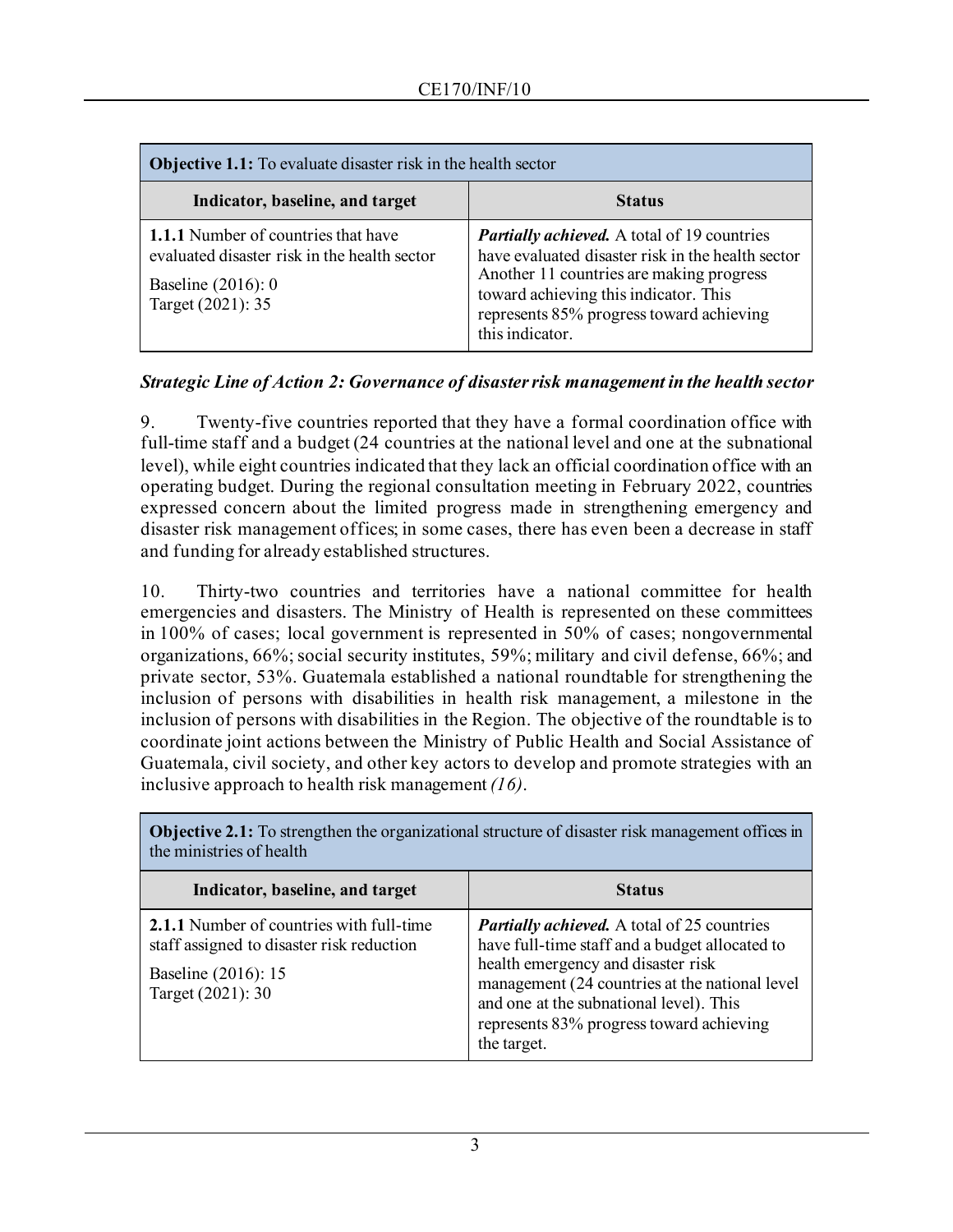| <b>Objective 1.1:</b> To evaluate disaster risk in the health sector                                                                    |                                                                                                                                                                                                                                                             |  |
|-----------------------------------------------------------------------------------------------------------------------------------------|-------------------------------------------------------------------------------------------------------------------------------------------------------------------------------------------------------------------------------------------------------------|--|
| Indicator, baseline, and target                                                                                                         | <b>Status</b>                                                                                                                                                                                                                                               |  |
| <b>1.1.1</b> Number of countries that have<br>evaluated disaster risk in the health sector<br>Baseline $(2016): 0$<br>Target (2021): 35 | <b>Partially achieved.</b> A total of 19 countries<br>have evaluated disaster risk in the health sector<br>Another 11 countries are making progress<br>toward achieving this indicator. This<br>represents 85% progress toward achieving<br>this indicator. |  |

## *Strategic Line of Action 2: Governance of disaster risk management in the health sector*

9. Twenty-five countries reported that they have a formal coordination office with full-time staff and a budget (24 countries at the national level and one at the subnational level), while eight countries indicated that they lack an official coordination office with an operating budget. During the regional consultation meeting in February 2022, countries expressed concern about the limited progress made in strengthening emergency and disaster risk management offices; in some cases, there has even been a decrease in staff and funding for already established structures.

10. Thirty-two countries and territories have a national committee for health emergencies and disasters. The Ministry of Health is represented on these committees in 100% of cases; local government is represented in 50% of cases; nongovernmental organizations, 66%; social security institutes, 59%; military and civil defense, 66%; and private sector, 53%. Guatemala established a national roundtable for strengthening the inclusion of persons with disabilities in health risk management, a milestone in the inclusion of persons with disabilities in the Region. The objective of the roundtable is to coordinate joint actions between the Ministry of Public Health and Social Assistance of Guatemala, civil society, and other key actors to develop and promote strategies with an inclusive approach to health risk management *(16)*.

| Indicator, baseline, and target                                                                                                   | <b>Status</b>                                                                                                                                                                                                                                                                                      |
|-----------------------------------------------------------------------------------------------------------------------------------|----------------------------------------------------------------------------------------------------------------------------------------------------------------------------------------------------------------------------------------------------------------------------------------------------|
| 2.1.1 Number of countries with full-time<br>staff assigned to disaster risk reduction<br>Baseline (2016): 15<br>Target (2021): 30 | <b>Partially achieved.</b> A total of 25 countries<br>have full-time staff and a budget allocated to<br>health emergency and disaster risk<br>management (24 countries at the national level<br>and one at the subnational level). This<br>represents 83% progress toward achieving<br>the target. |

**Objective 2.1:** To strengthen the organizational structure of disaster risk management offices in the ministries of health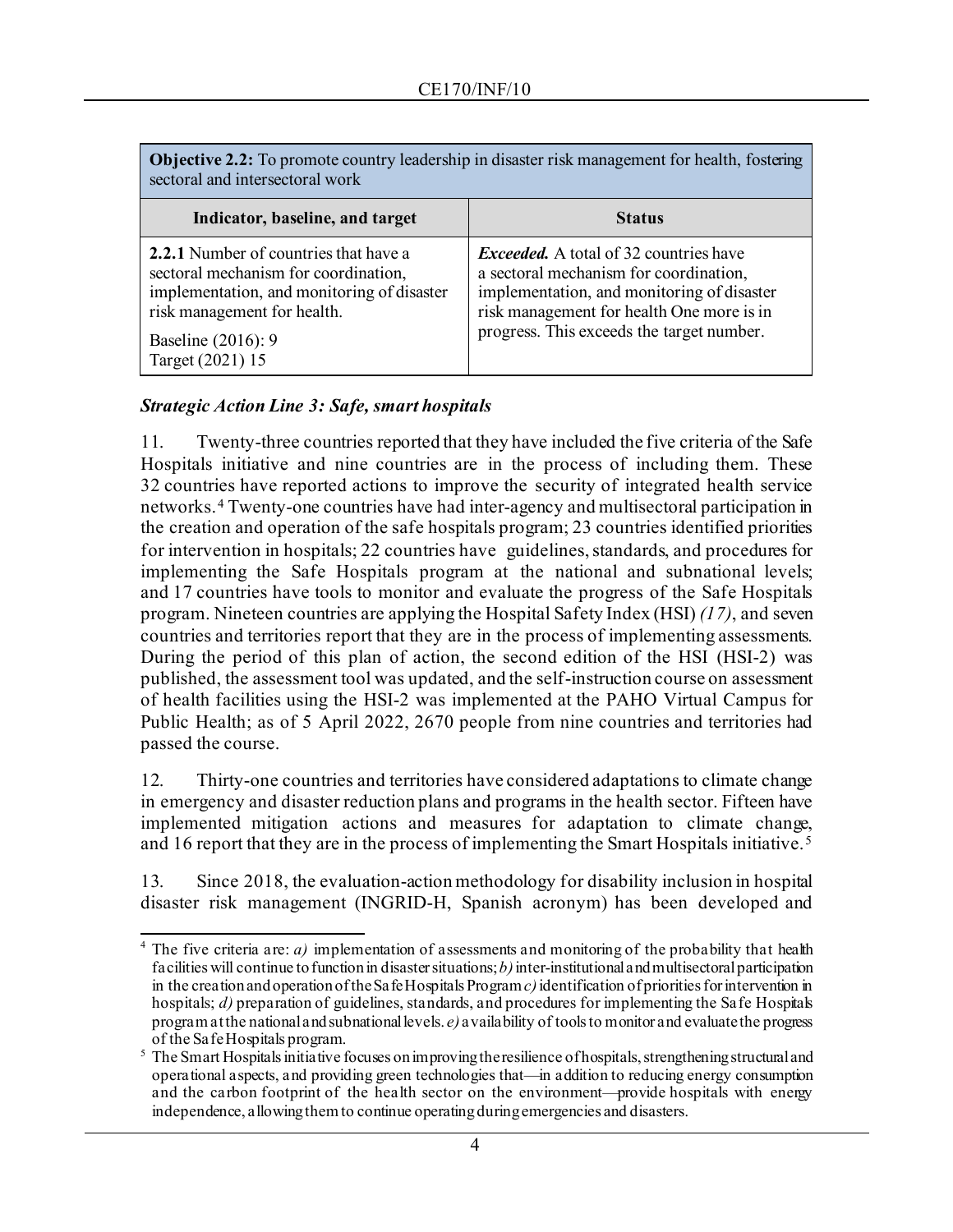| <b>Objective 2.2:</b> To promote country leadership in disaster risk management for health, fostering<br>sectoral and intersectoral work                                                                    |                                                                                                                                                                                                                                 |  |
|-------------------------------------------------------------------------------------------------------------------------------------------------------------------------------------------------------------|---------------------------------------------------------------------------------------------------------------------------------------------------------------------------------------------------------------------------------|--|
| Indicator, baseline, and target                                                                                                                                                                             | <b>Status</b>                                                                                                                                                                                                                   |  |
| <b>2.2.1</b> Number of countries that have a<br>sectoral mechanism for coordination,<br>implementation, and monitoring of disaster<br>risk management for health.<br>Baseline (2016): 9<br>Target (2021) 15 | <i>Exceeded.</i> A total of 32 countries have<br>a sectoral mechanism for coordination,<br>implementation, and monitoring of disaster<br>risk management for health One more is in<br>progress. This exceeds the target number. |  |

## *Strategic Action Line 3: Safe, smart hospitals*

11. Twenty-three countries reported that they have included the five criteria of the Safe Hospitals initiative and nine countries are in the process of including them. These 32 countries have reported actions to improve the security of integrated health service networks. [4](#page-3-0) Twenty-one countries have had inter-agency and multisectoral participation in the creation and operation of the safe hospitals program; 23 countries identified priorities for intervention in hospitals; 22 countries have guidelines, standards, and procedures for implementing the Safe Hospitals program at the national and subnational levels; and 17 countries have tools to monitor and evaluate the progress of the Safe Hospitals program. Nineteen countries are applying the Hospital Safety Index (HSI) *(17)*, and seven countries and territories report that they are in the process of implementing assessments. During the period of this plan of action, the second edition of the HSI (HSI-2) was published, the assessment tool was updated, and the self-instruction course on assessment of health facilities using the HSI-2 was implemented at the PAHO Virtual Campus for Public Health; as of 5 April 2022, 2670 people from nine countries and territories had passed the course.

12. Thirty-one countries and territories have considered adaptations to climate change in emergency and disaster reduction plans and programs in the health sector. Fifteen have implemented mitigation actions and measures for adaptation to climate change, and 16 report that they are in the process of implementing the Smart Hospitals initiative.[5](#page-3-1)

13. Since 2018, the evaluation-action methodology for disability inclusion in hospital disaster risk management (INGRID-H, Spanish acronym) has been developed and

<span id="page-3-0"></span><sup>&</sup>lt;sup>4</sup> The five criteria are:  $a$ ) implementation of assessments and monitoring of the probability that health facilities will continue to function in disaster situations;  $b$ ) inter-institutional and multisectoral participation in the creation and operation of the Safe Hospitals Program *c)*identification of priorities for intervention in hospitals; *d)* preparation of guidelines, standards, and procedures for implementing the Safe Hospitals program at the national and subnational levels. *e)* availability of tools to monitor and evaluate the progress of the Safe Hospitals program.

<span id="page-3-1"></span> $<sup>5</sup>$  The Smart Hospitals initiative focuses on improving the resilience of hospitals, strengthening structural and</sup> operational aspects, and providing green technologies that—in addition to reducing energy consumption and the carbon footprint of the health sector on the environment—provide hospitals with energy independence, allowing them to continue operating during emergencies and disasters.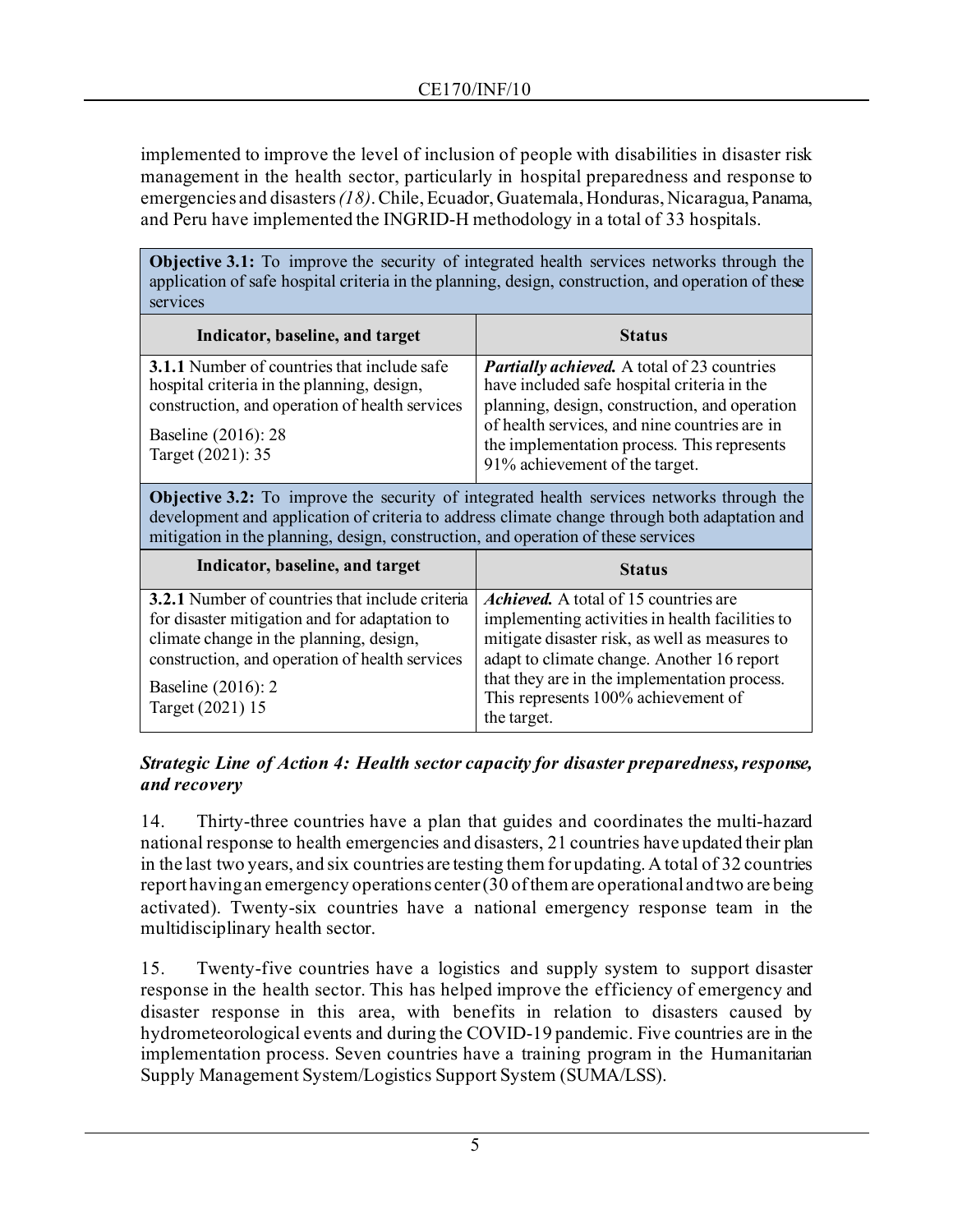implemented to improve the level of inclusion of people with disabilities in disaster risk management in the health sector, particularly in hospital preparedness and response to emergencies and disasters *(18)*. Chile, Ecuador, Guatemala, Honduras, Nicaragua, Panama, and Peru have implemented the INGRID-H methodology in a total of 33 hospitals.

**Objective 3.1:** To improve the security of integrated health services networks through the application of safe hospital criteria in the planning, design, construction, and operation of these services

| Indicator, baseline, and target                                                                                                                                                                | <b>Status</b>                                                                                                                                                                                                                                                                        |
|------------------------------------------------------------------------------------------------------------------------------------------------------------------------------------------------|--------------------------------------------------------------------------------------------------------------------------------------------------------------------------------------------------------------------------------------------------------------------------------------|
| <b>3.1.1</b> Number of countries that include safe<br>hospital criteria in the planning, design,<br>construction, and operation of health services<br>Baseline (2016): 28<br>Target (2021): 35 | <b>Partially achieved.</b> A total of 23 countries<br>have included safe hospital criteria in the<br>planning, design, construction, and operation<br>of health services, and nine countries are in<br>the implementation process. This represents<br>91% achievement of the target. |

**Objective 3.2:** To improve the security of integrated health services networks through the development and application of criteria to address climate change through both adaptation and mitigation in the planning, design, construction, and operation of these services

| Indicator, baseline, and target                        | <b>Status</b>                                                                                      |
|--------------------------------------------------------|----------------------------------------------------------------------------------------------------|
| <b>3.2.1</b> Number of countries that include criteria | <i>Achieved.</i> A total of 15 countries are                                                       |
| for disaster mitigation and for adaptation to          | implementing activities in health facilities to                                                    |
| climate change in the planning, design,                | mitigate disaster risk, as well as measures to                                                     |
| construction, and operation of health services         | adapt to climate change. Another 16 report                                                         |
| Baseline (2016): 2<br>Target (2021) 15                 | that they are in the implementation process.<br>This represents 100% achievement of<br>the target. |

## *Strategic Line of Action 4: Health sector capacity for disaster preparedness, response, and recovery*

14. Thirty-three countries have a plan that guides and coordinates the multi-hazard national response to health emergencies and disasters, 21 countries have updated their plan in the last two years, and six countries are testing them for updating. A total of 32 countries report having an emergency operations center (30 of them are operational and two are being activated). Twenty-six countries have a national emergency response team in the multidisciplinary health sector.

15. Twenty-five countries have a logistics and supply system to support disaster response in the health sector. This has helped improve the efficiency of emergency and disaster response in this area, with benefits in relation to disasters caused by hydrometeorological events and during the COVID-19 pandemic. Five countries are in the implementation process. Seven countries have a training program in the Humanitarian Supply Management System/Logistics Support System (SUMA/LSS).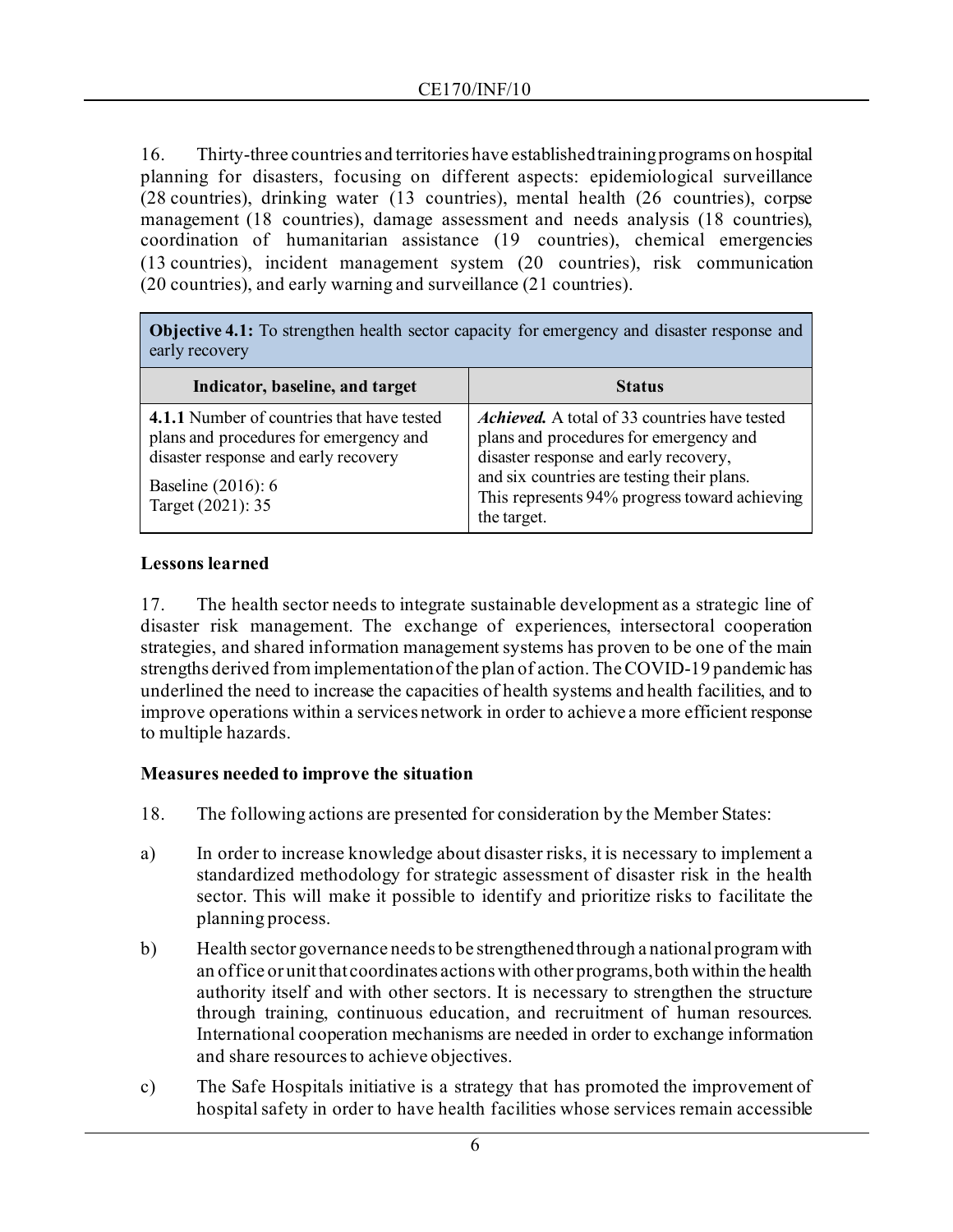16. Thirty-three countries and territories have established training programs on hospital planning for disasters, focusing on different aspects: epidemiological surveillance (28 countries), drinking water (13 countries), mental health (26 countries), corpse management (18 countries), damage assessment and needs analysis (18 countries), coordination of humanitarian assistance (19 countries), chemical emergencies (13 countries), incident management system (20 countries), risk communication (20 countries), and early warning and surveillance (21 countries).

**Objective 4.1:** To strengthen health sector capacity for emergency and disaster response and early recovery

| Indicator, baseline, and target                                                                                                                                         | <b>Status</b>                                                                                                                                                                                                                                  |
|-------------------------------------------------------------------------------------------------------------------------------------------------------------------------|------------------------------------------------------------------------------------------------------------------------------------------------------------------------------------------------------------------------------------------------|
| 4.1.1 Number of countries that have tested<br>plans and procedures for emergency and<br>disaster response and early recovery<br>Baseline (2016): 6<br>Target (2021): 35 | Achieved. A total of 33 countries have tested<br>plans and procedures for emergency and<br>disaster response and early recovery,<br>and six countries are testing their plans.<br>This represents 94% progress toward achieving<br>the target. |

## **Lessons learned**

17. The health sector needs to integrate sustainable development as a strategic line of disaster risk management. The exchange of experiences, intersectoral cooperation strategies, and shared information management systems has proven to be one of the main strengths derived from implementation of the plan of action. The COVID-19 pandemic has underlined the need to increase the capacities of health systems and health facilities, and to improve operations within a services network in order to achieve a more efficient response to multiple hazards.

#### **Measures needed to improve the situation**

- 18. The following actions are presented for consideration by the Member States:
- a) In order to increase knowledge about disaster risks, it is necessary to implement a standardized methodology for strategic assessment of disaster risk in the health sector. This will make it possible to identify and prioritize risks to facilitate the planning process.
- b) Health sector governance needs to be strengthened through a national program with an office or unit that coordinates actions with other programs, both within the health authority itself and with other sectors. It is necessary to strengthen the structure through training, continuous education, and recruitment of human resources. International cooperation mechanisms are needed in order to exchange information and share resources to achieve objectives.
- c) The Safe Hospitals initiative is a strategy that has promoted the improvement of hospital safety in order to have health facilities whose services remain accessible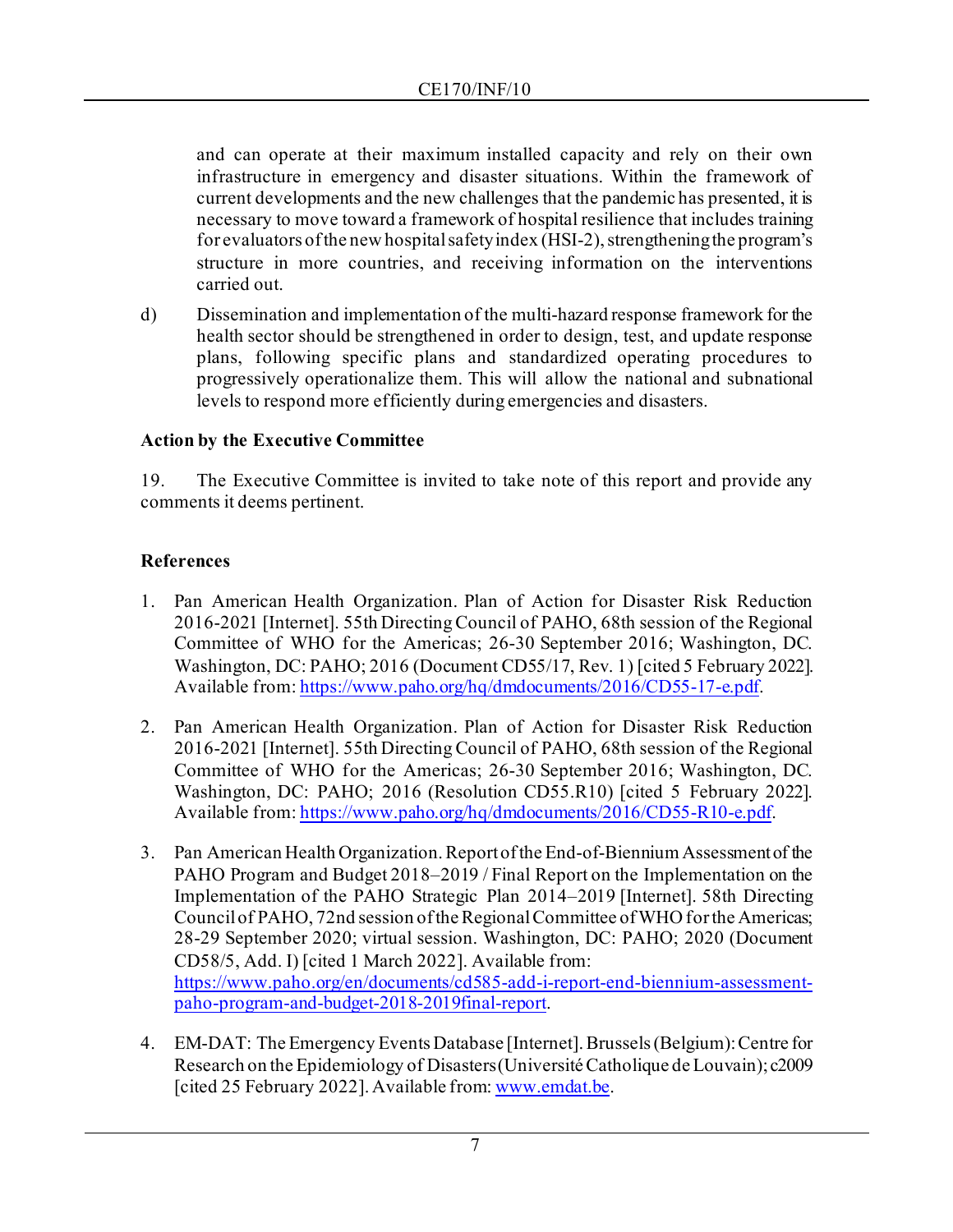and can operate at their maximum installed capacity and rely on their own infrastructure in emergency and disaster situations. Within the framework of current developments and the new challenges that the pandemic has presented, it is necessary to move toward a framework of hospital resilience that includes training for evaluators of the new hospital safety index (HSI-2), strengthening the program's structure in more countries, and receiving information on the interventions carried out.

d) Dissemination and implementation of the multi-hazard response framework for the health sector should be strengthened in order to design, test, and update response plans, following specific plans and standardized operating procedures to progressively operationalize them. This will allow the national and subnational levels to respond more efficiently during emergencies and disasters.

## **Action by the Executive Committee**

19. The Executive Committee is invited to take note of this report and provide any comments it deems pertinent.

# **References**

- 1. Pan American Health Organization. Plan of Action for Disaster Risk Reduction 2016-2021 [Internet]. 55th Directing Council of PAHO, 68th session of the Regional Committee of WHO for the Americas; 26-30 September 2016; Washington, DC. Washington, DC: PAHO; 2016 (Document CD55/17, Rev. 1) [cited 5 February 2022]. Available from: <https://www.paho.org/hq/dmdocuments/2016/CD55-17-e.pdf>.
- 2. Pan American Health Organization. Plan of Action for Disaster Risk Reduction 2016-2021 [Internet]. 55th Directing Council of PAHO, 68th session of the Regional Committee of WHO for the Americas; 26-30 September 2016; Washington, DC. Washington, DC: PAHO; 2016 (Resolution CD55.R10) [cited 5 February 2022]. Available from: <https://www.paho.org/hq/dmdocuments/2016/CD55-R10-e.pdf>.
- 3. Pan American Health Organization. Report of the End-of-Biennium Assessment of the PAHO Program and Budget 2018–2019 / Final Report on the Implementation on the Implementation of the PAHO Strategic Plan 2014–2019 [Internet]. 58th Directing Council of PAHO, 72nd session of the Regional Committee of WHO for the Americas; 28-29 September 2020; virtual session. Washington, DC: PAHO; 2020 (Document CD58/5, Add. I) [cited 1 March 2022]. Available from: https://www.paho.org/en/documents/cd585-add-i-report-end-biennium-assessmentpaho-program-and-budget-2018-2019final-report.
- 4. EM-DAT: The Emergency Events Database [Internet]. Brussels (Belgium): Centre for Research on the Epidemiology of Disasters (Université Catholique de Louvain); c2009 [cited 25 February 2022]. Available from: [www.emdat.be](http://www.emdat.be/).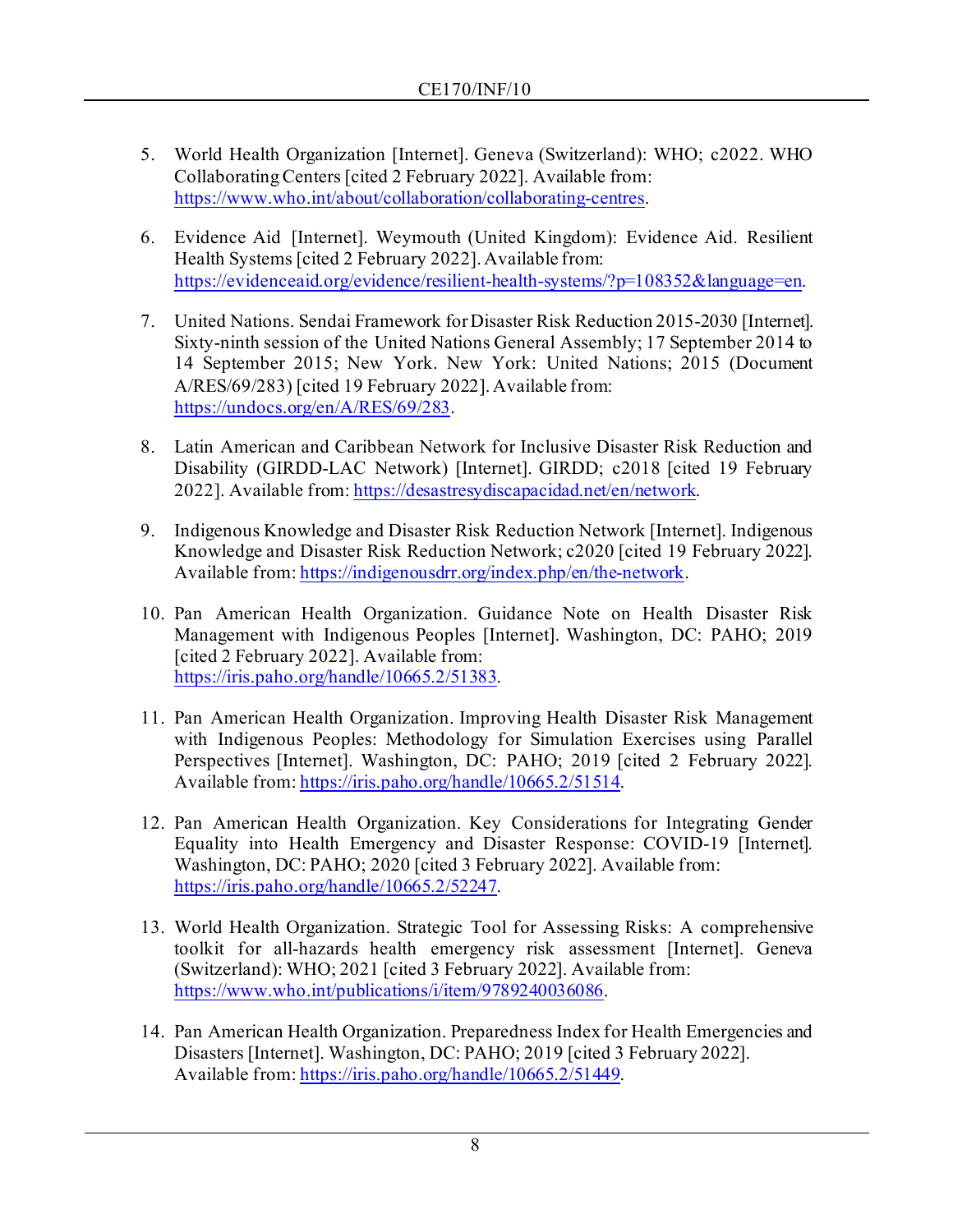- 5. World Health Organization [Internet]. Geneva (Switzerland): WHO; c2022. WHO Collaborating Centers [cited 2 February 2022]. Available from: https://www.who.int/about/collaboration/collaborating-centres.
- 6. Evidence Aid [Internet]. Weymouth (United Kingdom): Evidence Aid. Resilient Health Systems [cited 2 February 2022]. Available from: <https://evidenceaid.org/evidence/resilient-health-systems/?p=108352&language=en>.
- 7. United Nations. Sendai Framework for Disaster Risk Reduction 2015-2030 [Internet]. Sixty-ninth session of the United Nations General Assembly; 17 September 2014 to 14 September 2015; New York. New York: United Nations; 2015 (Document A/RES/69/283) [cited 19 February 2022]. Available from: <https://undocs.org/en/A/RES/69/283>.
- 8. Latin American and Caribbean Network for Inclusive Disaster Risk Reduction and Disability (GIRDD-LAC Network) [Internet]. GIRDD; c2018 [cited 19 February 2022]. Available from[: https://desastresydiscapacidad.net/en/network](https://desastresydiscapacidad.net/en/network).
- 9. Indigenous Knowledge and Disaster Risk Reduction Network [Internet]. Indigenous Knowledge and Disaster Risk Reduction Network; c2020 [cited 19 February 2022]. Available from[: https://indigenousdrr.org/index.php/en/the-network](https://indigenousdrr.org/index.php/en/the-network).
- 10. Pan American Health Organization. Guidance Note on Health Disaster Risk Management with Indigenous Peoples [Internet]. Washington, DC: PAHO; 2019 [cited 2 February 2022]. Available from: <https://iris.paho.org/handle/10665.2/51383>.
- 11. Pan American Health Organization. Improving Health Disaster Risk Management with Indigenous Peoples: Methodology for Simulation Exercises using Parallel Perspectives [Internet]. Washington, DC: PAHO; 2019 [cited 2 February 2022]. Available from[: https://iris.paho.org/handle/10665.2/51514](https://iris.paho.org/handle/10665.2/51514).
- 12. Pan American Health Organization. Key Considerations for Integrating Gender Equality into Health Emergency and Disaster Response: COVID-19 [Internet]. Washington, DC: PAHO; 2020 [cited 3 February 2022]. Available from: https://iris.paho.org/handle/10665.2/52247.
- 13. World Health Organization. Strategic Tool for Assessing Risks: A comprehensive toolkit for all-hazards health emergency risk assessment [Internet]. Geneva (Switzerland): WHO; 2021 [cited 3 February 2022]. Available from: https://www.who.int/publications/i/item/9789240036086.
- 14. Pan American Health Organization. Preparedness Index for Health Emergencies and Disasters [Internet]. Washington, DC: PAHO; 2019 [cited 3 February 2022]. Available from: <https://iris.paho.org/handle/10665.2/51449>.